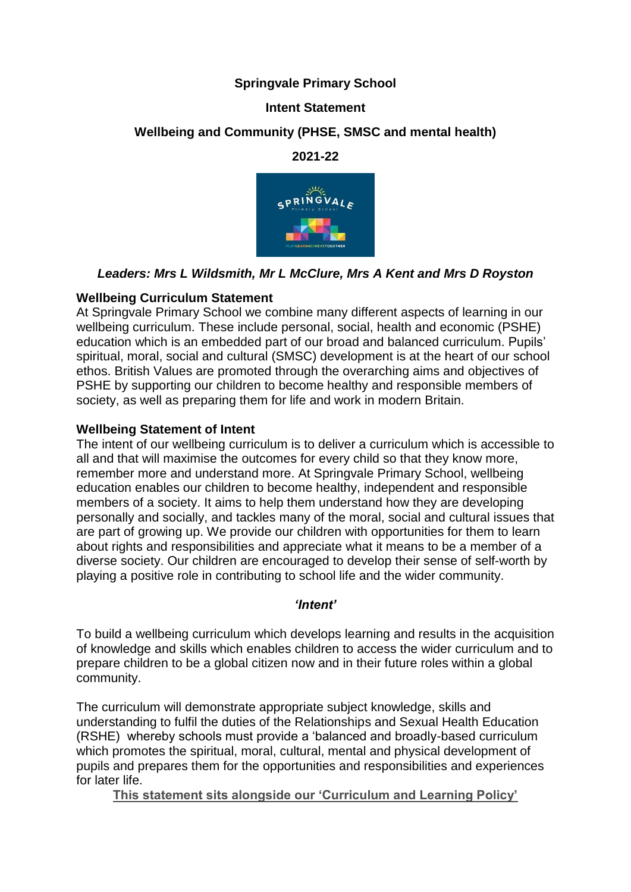# **Springvale Primary School**

## **Intent Statement**

# **Wellbeing and Community (PHSE, SMSC and mental health)**

**2021-22**



# *Leaders: Mrs L Wildsmith, Mr L McClure, Mrs A Kent and Mrs D Royston*

## **Wellbeing Curriculum Statement**

At Springvale Primary School we combine many different aspects of learning in our wellbeing curriculum. These include personal, social, health and economic (PSHE) education which is an embedded part of our broad and balanced curriculum. Pupils' spiritual, moral, social and cultural (SMSC) development is at the heart of our school ethos. British Values are promoted through the overarching aims and objectives of PSHE by supporting our children to become healthy and responsible members of society, as well as preparing them for life and work in modern Britain.

## **Wellbeing Statement of Intent**

The intent of our wellbeing curriculum is to deliver a curriculum which is accessible to all and that will maximise the outcomes for every child so that they know more, remember more and understand more. At Springvale Primary School, wellbeing education enables our children to become healthy, independent and responsible members of a society. It aims to help them understand how they are developing personally and socially, and tackles many of the moral, social and cultural issues that are part of growing up. We provide our children with opportunities for them to learn about rights and responsibilities and appreciate what it means to be a member of a diverse society. Our children are encouraged to develop their sense of self-worth by playing a positive role in contributing to school life and the wider community.

#### *'Intent'*

To build a wellbeing curriculum which develops learning and results in the acquisition of knowledge and skills which enables children to access the wider curriculum and to prepare children to be a global citizen now and in their future roles within a global community.

The curriculum will demonstrate appropriate subject knowledge, skills and understanding to fulfil the duties of the Relationships and Sexual Health Education (RSHE) whereby schools must provide a 'balanced and broadly-based curriculum which promotes the spiritual, moral, cultural, mental and physical development of pupils and prepares them for the opportunities and responsibilities and experiences for later life.

**This statement sits alongside our 'Curriculum and Learning Policy'**